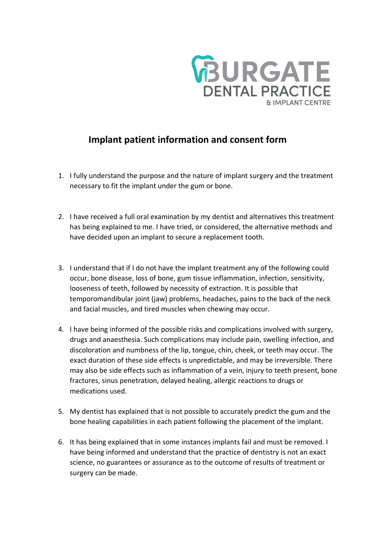

## **Implant patient information and consent form**

- 1. I fully understand the purpose and the nature of implant surgery and the treatment necessary to fit the implant under the gum or bone.
- 2. I have received a full oral examination by my dentist and alternatives this treatment has being explained to me. I have tried, or considered, the alternative methods and have decided upon an implant to secure a replacement tooth.
- 3. I understand that if I do not have the implant treatment any of the following could occur, bone disease, loss of bone, gum tissue inflammation, infection, sensitivity, looseness of teeth, followed by necessity of extraction. It is possible that temporomandibular joint (jaw) problems, headaches, pains to the back of the neck and facial muscles, and tired muscles when chewing may occur.
- 4. I have being informed of the possible risks and complications involved with surgery, drugs and anaesthesia. Such complications may include pain, swelling infection, and discoloration and numbness of the lip, tongue, chin, cheek, or teeth may occur. The exact duration of these side effects is unpredictable, and may be irreversible. There may also be side effects such as inflammation of a vein, injury to teeth present, bone fractures, sinus penetration, delayed healing, allergic reactions to drugs or medications used.
- 5. My dentist has explained that is not possible to accurately predict the gum and the bone healing capabilities in each patient following the placement of the implant.
- 6. It has being explained that in some instances implants fail and must be removed. I have being informed and understand that the practice of dentistry is not an exact science, no guarantees or assurance as to the outcome of results of treatment or surgery can be made.